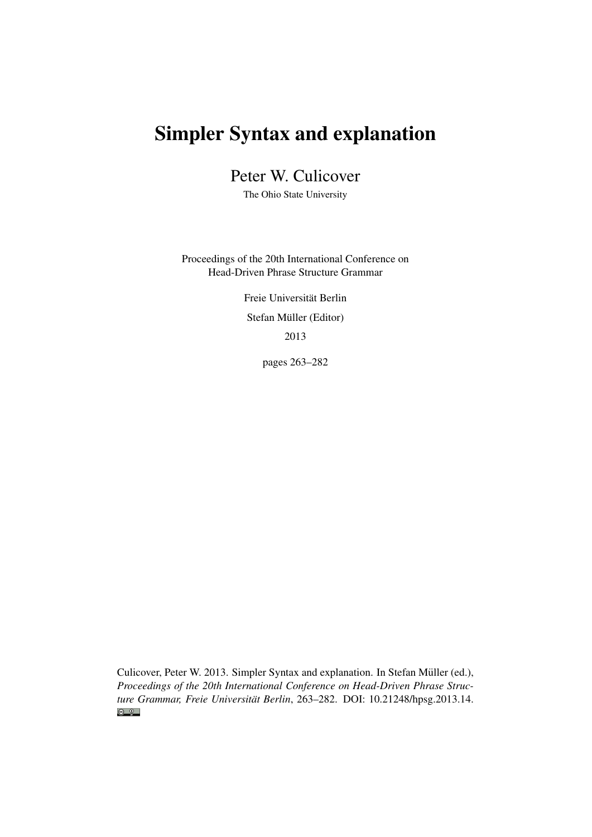# Simpler Syntax and explanation

Peter W. Culicover

The Ohio State University

Proceedings of the 20th International Conference on Head-Driven Phrase Structure Grammar

> Freie Universität Berlin Stefan Müller (Editor) 2013

> > pages 263–282

Culicover, Peter W. 2013. Simpler Syntax and explanation. In Stefan Müller (ed.), *Proceedings of the 20th International Conference on Head-Driven Phrase Structure Grammar, Freie Universität Berlin*, 263–282. DOI: [10.21248/hpsg.2013.14.](http://doi.org/10.21248/hpsg.2013.14) $\odot$   $\odot$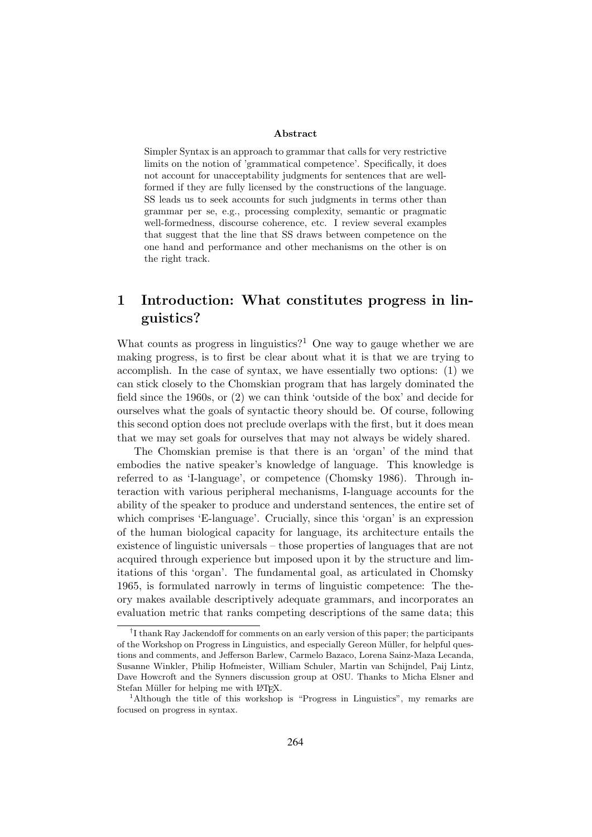#### Abstract

Simpler Syntax is an approach to grammar that calls for very restrictive limits on the notion of 'grammatical competence'. Specifically, it does not account for unacceptability judgments for sentences that are wellformed if they are fully licensed by the constructions of the language. SS leads us to seek accounts for such judgments in terms other than grammar per se, e.g., processing complexity, semantic or pragmatic well-formedness, discourse coherence, etc. I review several examples that suggest that the line that SS draws between competence on the one hand and performance and other mechanisms on the other is on the right track.

## 1 Introduction: What constitutes progress in linguistics?

What counts as progress in linguistics?<sup>1</sup> One way to gauge whether we are making progress, is to first be clear about what it is that we are trying to accomplish. In the case of syntax, we have essentially two options: (1) we can stick closely to the Chomskian program that has largely dominated the field since the 1960s, or (2) we can think 'outside of the box' and decide for ourselves what the goals of syntactic theory should be. Of course, following this second option does not preclude overlaps with the first, but it does mean that we may set goals for ourselves that may not always be widely shared.

The Chomskian premise is that there is an 'organ' of the mind that embodies the native speaker's knowledge of language. This knowledge is referred to as 'I-language', or competence (Chomsky 1986). Through interaction with various peripheral mechanisms, I-language accounts for the ability of the speaker to produce and understand sentences, the entire set of which comprises 'E-language'. Crucially, since this 'organ' is an expression of the human biological capacity for language, its architecture entails the existence of linguistic universals – those properties of languages that are not acquired through experience but imposed upon it by the structure and limitations of this 'organ'. The fundamental goal, as articulated in Chomsky 1965, is formulated narrowly in terms of linguistic competence: The theory makes available descriptively adequate grammars, and incorporates an evaluation metric that ranks competing descriptions of the same data; this

<sup>†</sup> I thank Ray Jackendoff for comments on an early version of this paper; the participants of the Workshop on Progress in Linguistics, and especially Gereon Müller, for helpful questions and comments, and Jefferson Barlew, Carmelo Bazaco, Lorena Sainz-Maza Lecanda, Susanne Winkler, Philip Hofmeister, William Schuler, Martin van Schijndel, Paij Lintz, Dave Howcroft and the Synners discussion group at OSU. Thanks to Micha Elsner and Stefan Müller for helping me with L<sup>AT</sup>FX.

<sup>1</sup>Although the title of this workshop is "Progress in Linguistics", my remarks are focused on progress in syntax.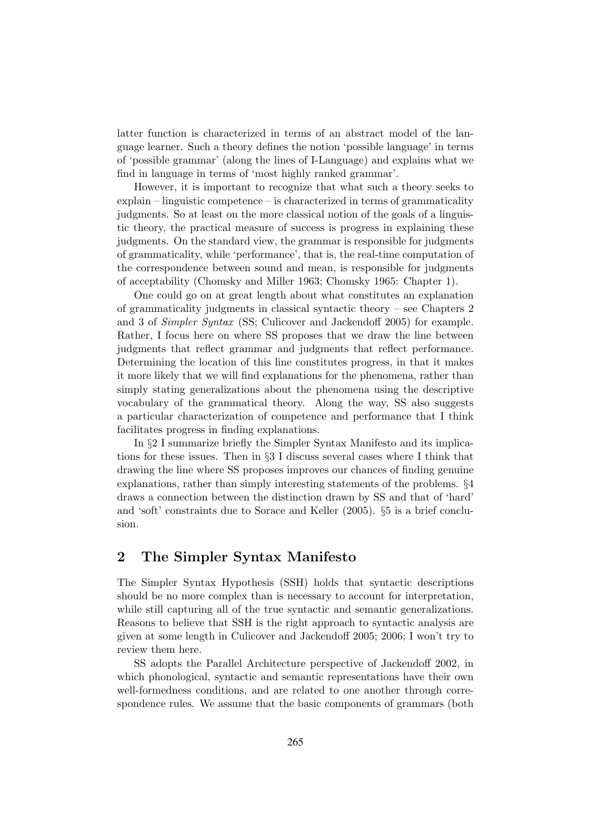latter function is characterized in terms of an abstract model of the language learner. Such a theory defines the notion 'possible language' in terms of 'possible grammar' (along the lines of I-Language) and explains what we find in language in terms of 'most highly ranked grammar'.

However, it is important to recognize that what such a theory seeks to explain – linguistic competence – is characterized in terms of grammaticality judgments. So at least on the more classical notion of the goals of a linguistic theory, the practical measure of success is progress in explaining these judgments. On the standard view, the grammar is responsible for judgments of grammaticality, while 'performance', that is, the real-time computation of the correspondence between sound and mean, is responsible for judgments of acceptability (Chomsky and Miller 1963; Chomsky 1965: Chapter 1).

One could go on at great length about what constitutes an explanation of grammaticality judgments in classical syntactic theory – see Chapters 2 and 3 of Simpler Syntax (SS; Culicover and Jackendoff 2005) for example. Rather, I focus here on where SS proposes that we draw the line between judgments that reflect grammar and judgments that reflect performance. Determining the location of this line constitutes progress, in that it makes it more likely that we will find explanations for the phenomena, rather than simply stating generalizations about the phenomena using the descriptive vocabulary of the grammatical theory. Along the way, SS also suggests a particular characterization of competence and performance that I think facilitates progress in finding explanations.

In §2 I summarize briefly the Simpler Syntax Manifesto and its implications for these issues. Then in §3 I discuss several cases where I think that drawing the line where SS proposes improves our chances of finding genuine explanations, rather than simply interesting statements of the problems. §4 draws a connection between the distinction drawn by SS and that of 'hard' and 'soft' constraints due to Sorace and Keller (2005). §5 is a brief conclusion.

## 2 The Simpler Syntax Manifesto

The Simpler Syntax Hypothesis (SSH) holds that syntactic descriptions should be no more complex than is necessary to account for interpretation, while still capturing all of the true syntactic and semantic generalizations. Reasons to believe that SSH is the right approach to syntactic analysis are given at some length in Culicover and Jackendoff 2005; 2006; I won't try to review them here.

SS adopts the Parallel Architecture perspective of Jackendoff 2002, in which phonological, syntactic and semantic representations have their own well-formedness conditions, and are related to one another through correspondence rules. We assume that the basic components of grammars (both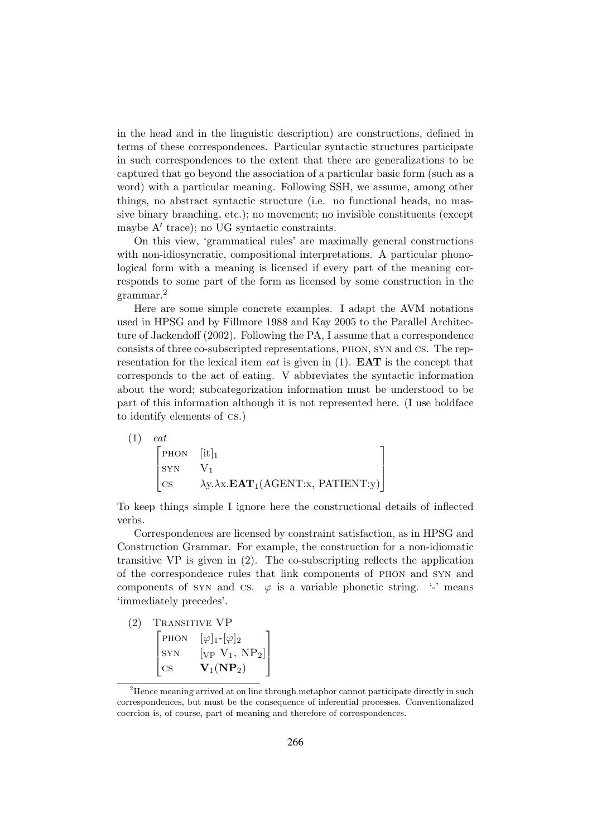in the head and in the linguistic description) are constructions, defined in terms of these correspondences. Particular syntactic structures participate in such correspondences to the extent that there are generalizations to be captured that go beyond the association of a particular basic form (such as a word) with a particular meaning. Following SSH, we assume, among other things, no abstract syntactic structure (i.e. no functional heads, no massive binary branching, etc.); no movement; no invisible constituents (except maybe  $A'$  trace); no UG syntactic constraints.

On this view, 'grammatical rules' are maximally general constructions with non-idiosyncratic, compositional interpretations. A particular phonological form with a meaning is licensed if every part of the meaning corresponds to some part of the form as licensed by some construction in the grammar.<sup>2</sup>

Here are some simple concrete examples. I adapt the AVM notations used in HPSG and by Fillmore 1988 and Kay 2005 to the Parallel Architecture of Jackendoff (2002). Following the PA, I assume that a correspondence consists of three co-subscripted representations, phon, syn and cs. The representation for the lexical item *eat* is given in  $(1)$ . **EAT** is the concept that corresponds to the act of eating. V abbreviates the syntactic information about the word; subcategorization information must be understood to be part of this information although it is not represented here. (I use boldface to identify elements of cs.)

| (1) | eat                                                                             |                                                            |  |
|-----|---------------------------------------------------------------------------------|------------------------------------------------------------|--|
|     | $\begin{bmatrix} \text{PHON} & [\text{it}]_1 \\ \text{SYN} & V_1 \end{bmatrix}$ |                                                            |  |
|     | SYN                                                                             |                                                            |  |
|     | $\vert$ CS                                                                      | $\lambda y. \lambda x. \mathbf{EAT}_1(AGENT:x, PATHENT:y)$ |  |

To keep things simple I ignore here the constructional details of inflected verbs.

Correspondences are licensed by constraint satisfaction, as in HPSG and Construction Grammar. For example, the construction for a non-idiomatic transitive  $VP$  is given in (2). The co-subscripting reflects the application of the correspondence rules that link components of phon and syn and components of SYN and CS.  $\varphi$  is a variable phonetic string. '-' means 'immediately precedes'.

| (2) | <b>TRANSITIVE VP</b> |                               |
|-----|----------------------|-------------------------------|
|     | P <sub>HON</sub>     | $[\varphi]_1$ - $[\varphi]_2$ |
|     | SYN                  | $[VP V_1, NP_2]$              |
|     | CS                   | $V_1(NP_2)$                   |

 $2$ Hence meaning arrived at on line through metaphor cannot participate directly in such correspondences, but must be the consequence of inferential processes. Conventionalized coercion is, of course, part of meaning and therefore of correspondences.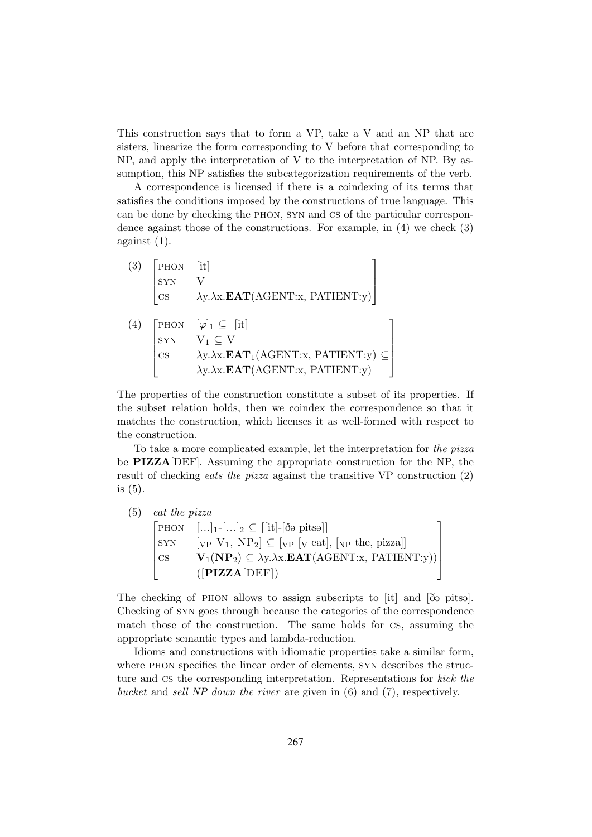This construction says that to form a VP, take a V and an NP that are sisters, linearize the form corresponding to V before that corresponding to NP, and apply the interpretation of V to the interpretation of NP. By assumption, this NP satisfies the subcategorization requirements of the verb.

A correspondence is licensed if there is a coindexing of its terms that satisfies the conditions imposed by the constructions of true language. This can be done by checking the phon, syn and cs of the particular correspondence against those of the constructions. For example, in (4) we check (3) against (1).

 $(3)$  $\overline{\phantom{a}}$ PHON [it] syn V cs  $\lambda y.\lambda x.\mathbf{EAT}(\text{AGENT:x}, \text{PATHINT:y})$ T  $\overline{\phantom{a}}$  $(4)$  $\begin{array}{c} \begin{array}{c} \begin{array}{c} \begin{array}{c} \end{array} \\ \begin{array}{c} \end{array} \end{array} \end{array} \end{array}$ PHON  $[\varphi]_1 \subseteq [\text{it}]$  $SYN$   $V_1 \subseteq V$ cs  $\lambda y.\lambda x.\mathbf{EAT}_1(\text{AGENT}:x, \text{PATHENT}:y) \subseteq$  $\lambda$ x.**EAT**(AGENT:x, PATIENT:y) <sup>1</sup>  $\begin{array}{c} \n \begin{array}{c} \n \begin{array}{c} \n \end{array} \\
\n \end{array} \n \end{array}$ 

The properties of the construction constitute a subset of its properties. If the subset relation holds, then we coindex the correspondence so that it matches the construction, which licenses it as well-formed with respect to the construction.

To take a more complicated example, let the interpretation for the pizza be PIZZA[DEF]. Assuming the appropriate construction for the NP, the result of checking eats the pizza against the transitive VP construction (2) is (5).

(5) eat the pizza  $\sqrt{ }$  $\begin{array}{c} \begin{array}{c} \begin{array}{c} \end{array} \\ \begin{array}{c} \end{array} \end{array} \end{array}$ PHON  $[\ldots]_1$ - $[\ldots]_2 \subseteq [[\text{it}]-[\delta \Theta \text{ pits}\Theta]]$  $SYN \quad [VP \; V_1, \; NP_2] \subseteq [VP \; [V \; eat], \; [NP \; the, \; pizza]]$ cs  $\mathbf{V}_1(\mathbf{NP}_2) \subseteq \lambda y.\lambda x.\mathbf{EAT}(\text{AGENT}:x, \text{PATHENT}:y))$  $([PIZZA[DEF])$ T  $\begin{array}{c} \n\downarrow \\ \n\downarrow \n\end{array}$ 

The checking of PHON allows to assign subscripts to [it] and [ $\delta \phi$  pitsa]. Checking of syn goes through because the categories of the correspondence match those of the construction. The same holds for cs, assuming the appropriate semantic types and lambda-reduction.

Idioms and constructions with idiomatic properties take a similar form, where phon specifies the linear order of elements, syn describes the structure and cs the corresponding interpretation. Representations for kick the bucket and sell NP down the river are given in (6) and (7), respectively.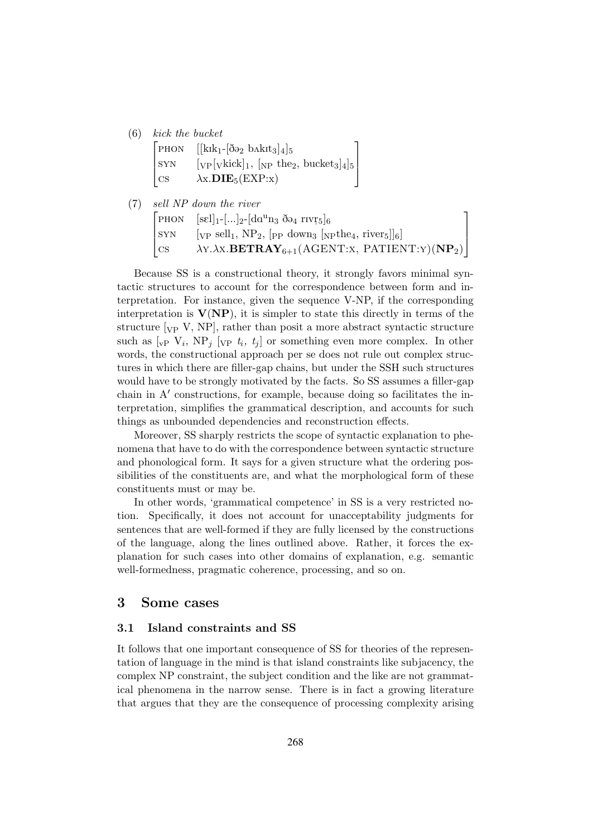#### (6) kick the bucket

|        | PHON $[[kik_1 - [\delta \Theta_2 \b \lambda k it_3]_4]_5$             |
|--------|-----------------------------------------------------------------------|
| SYN    | $[\text{VP}[\text{vkick}]_1, [\text{NP the}_2, \text{bucket}_3]_4]_5$ |
| $\cos$ | $\lambda$ x. <b>DIE</b> <sub>5</sub> (EXP:x)                          |

(7) sell NP down the river  $\sqrt{ }$  $\overline{\phantom{a}}$ PHON  $[\text{sel}]_1$ - $\left[\ldots\right]_2$ - $\left[\text{da}^{\text{u}}\text{n}_3 \right]_3$   $\left[\text{ba}^{\text{u}}\right]_6$  $SYN \quad \text{[VP sell}_1, NP_2, \text{[pp down}_3 \text{[npthe}_4, river_5]]_6]$ cs  $\lambda$ Y. $\lambda$ X.**BETRAY**<sub>6+1</sub>(AGENT:X, PATIENT:Y)(**NP**<sub>2</sub>)  $\overline{1}$  $\vert$ 

Because SS is a constructional theory, it strongly favors minimal syntactic structures to account for the correspondence between form and interpretation. For instance, given the sequence V-NP, if the corresponding interpretation is  $V(NP)$ , it is simpler to state this directly in terms of the structure  $[\text{VP } V, \text{NP}]$ , rather than posit a more abstract syntactic structure such as  $[\mathrm{v}_F \; V_i, \; \mathrm{NP}_j \; [\mathrm{v}_F \; t_i, \; t_j]$  or something even more complex. In other words, the constructional approach per se does not rule out complex structures in which there are filler-gap chains, but under the SSH such structures would have to be strongly motivated by the facts. So SS assumes a filler-gap chain in  $A'$  constructions, for example, because doing so facilitates the interpretation, simplifies the grammatical description, and accounts for such things as unbounded dependencies and reconstruction effects.

Moreover, SS sharply restricts the scope of syntactic explanation to phenomena that have to do with the correspondence between syntactic structure and phonological form. It says for a given structure what the ordering possibilities of the constituents are, and what the morphological form of these constituents must or may be.

In other words, 'grammatical competence' in SS is a very restricted notion. Specifically, it does not account for unacceptability judgments for sentences that are well-formed if they are fully licensed by the constructions of the language, along the lines outlined above. Rather, it forces the explanation for such cases into other domains of explanation, e.g. semantic well-formedness, pragmatic coherence, processing, and so on.

### 3 Some cases

#### 3.1 Island constraints and SS

It follows that one important consequence of SS for theories of the representation of language in the mind is that island constraints like subjacency, the complex NP constraint, the subject condition and the like are not grammatical phenomena in the narrow sense. There is in fact a growing literature that argues that they are the consequence of processing complexity arising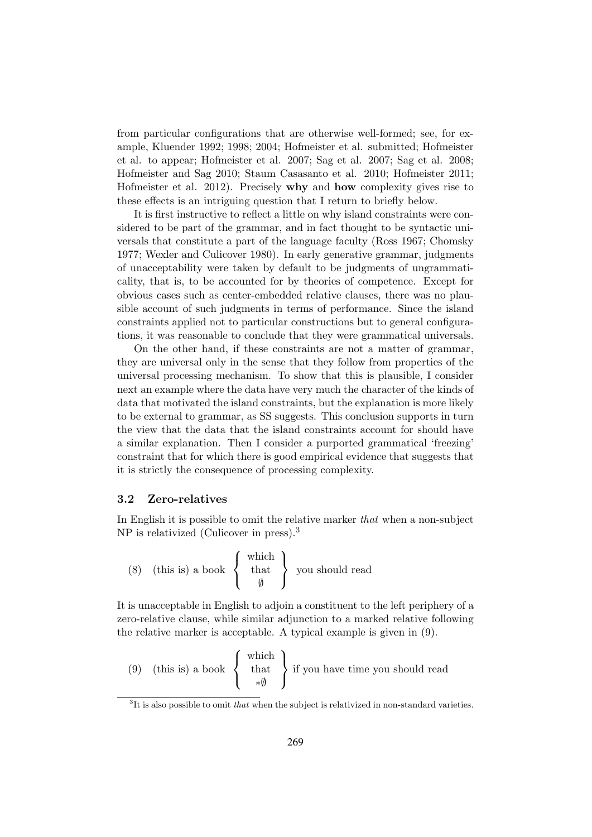from particular configurations that are otherwise well-formed; see, for example, Kluender 1992; 1998; 2004; Hofmeister et al. submitted; Hofmeister et al. to appear; Hofmeister et al. 2007; Sag et al. 2007; Sag et al. 2008; Hofmeister and Sag 2010; Staum Casasanto et al. 2010; Hofmeister 2011; Hofmeister et al. 2012). Precisely why and how complexity gives rise to these effects is an intriguing question that I return to briefly below.

It is first instructive to reflect a little on why island constraints were considered to be part of the grammar, and in fact thought to be syntactic universals that constitute a part of the language faculty (Ross 1967; Chomsky 1977; Wexler and Culicover 1980). In early generative grammar, judgments of unacceptability were taken by default to be judgments of ungrammaticality, that is, to be accounted for by theories of competence. Except for obvious cases such as center-embedded relative clauses, there was no plausible account of such judgments in terms of performance. Since the island constraints applied not to particular constructions but to general configurations, it was reasonable to conclude that they were grammatical universals.

On the other hand, if these constraints are not a matter of grammar, they are universal only in the sense that they follow from properties of the universal processing mechanism. To show that this is plausible, I consider next an example where the data have very much the character of the kinds of data that motivated the island constraints, but the explanation is more likely to be external to grammar, as SS suggests. This conclusion supports in turn the view that the data that the island constraints account for should have a similar explanation. Then I consider a purported grammatical 'freezing' constraint that for which there is good empirical evidence that suggests that it is strictly the consequence of processing complexity.

#### 3.2 Zero-relatives

In English it is possible to omit the relative marker that when a non-subject NP is relativized (Culicover in press).<sup>3</sup>

(8) (this is) a book 
$$
\begin{Bmatrix} \text{which} \\ \text{that} \\ \emptyset \end{Bmatrix}
$$
 you should read

It is unacceptable in English to adjoin a constituent to the left periphery of a zero-relative clause, while similar adjunction to a marked relative following the relative marker is acceptable. A typical example is given in (9).

(9) (this is) a book 
$$
\begin{Bmatrix} \text{which} \\ \text{that} \\ * \emptyset \end{Bmatrix}
$$
 if you have time you should read

 ${}^{3}$ It is also possible to omit that when the subject is relativized in non-standard varieties.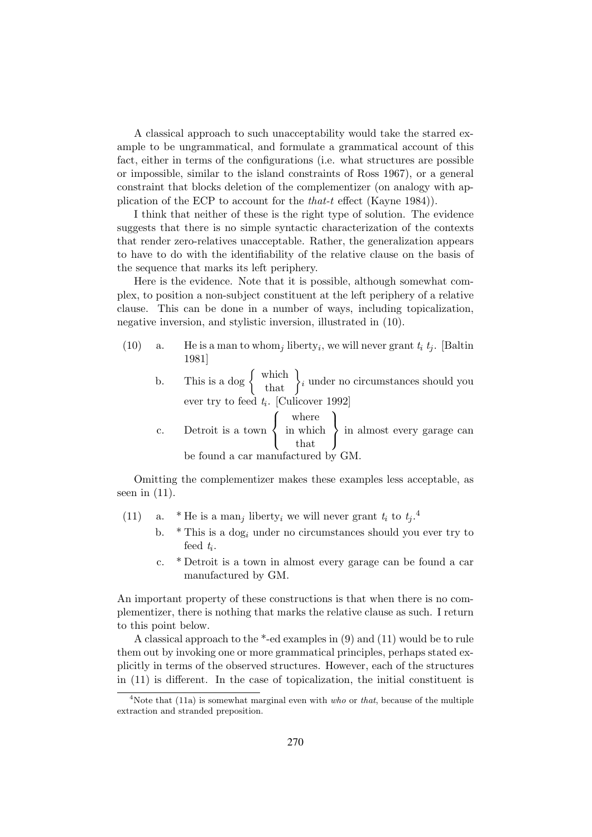A classical approach to such unacceptability would take the starred example to be ungrammatical, and formulate a grammatical account of this fact, either in terms of the configurations (i.e. what structures are possible or impossible, similar to the island constraints of Ross 1967), or a general constraint that blocks deletion of the complementizer (on analogy with application of the ECP to account for the that-t effect (Kayne 1984)).

I think that neither of these is the right type of solution. The evidence suggests that there is no simple syntactic characterization of the contexts that render zero-relatives unacceptable. Rather, the generalization appears to have to do with the identifiability of the relative clause on the basis of the sequence that marks its left periphery.

Here is the evidence. Note that it is possible, although somewhat complex, to position a non-subject constituent at the left periphery of a relative clause. This can be done in a number of ways, including topicalization, negative inversion, and stylistic inversion, illustrated in (10).

- (10) a. He is a man to whom<sub>j</sub> liberty<sub>i</sub>, we will never grant  $t_i$   $t_j$ . [Baltin 1981]
	- b. This is a dog  $\begin{cases} \text{which} \\ \text{that} \end{cases} i$  under no circumstances should you ever try to feed  $t_i$ . [Culicover 1992]

 $\sqrt{ }$ where

c. Detroit is a town  $\frac{1}{2}$  $\mathbf{I}$ in which that  $\mathcal{L}$  $\mathbf{J}$ in almost every garage can be found a car manufactured by GM.

 $\lambda$ 

Omitting the complementizer makes these examples less acceptable, as seen in  $(11)$ .

- (11) a. \* He is a man<sub>j</sub> liberty<sub>i</sub> we will never grant  $t_i$  to  $t_j$ .<sup>4</sup>
	- b.  $*$  This is a dog<sub>i</sub> under no circumstances should you ever try to feed  $t_i$ .
	- c. \* Detroit is a town in almost every garage can be found a car manufactured by GM.

An important property of these constructions is that when there is no complementizer, there is nothing that marks the relative clause as such. I return to this point below.

A classical approach to the \*-ed examples in (9) and (11) would be to rule them out by invoking one or more grammatical principles, perhaps stated explicitly in terms of the observed structures. However, each of the structures in (11) is different. In the case of topicalization, the initial constituent is

<sup>&</sup>lt;sup>4</sup>Note that (11a) is somewhat marginal even with *who* or *that*, because of the multiple extraction and stranded preposition.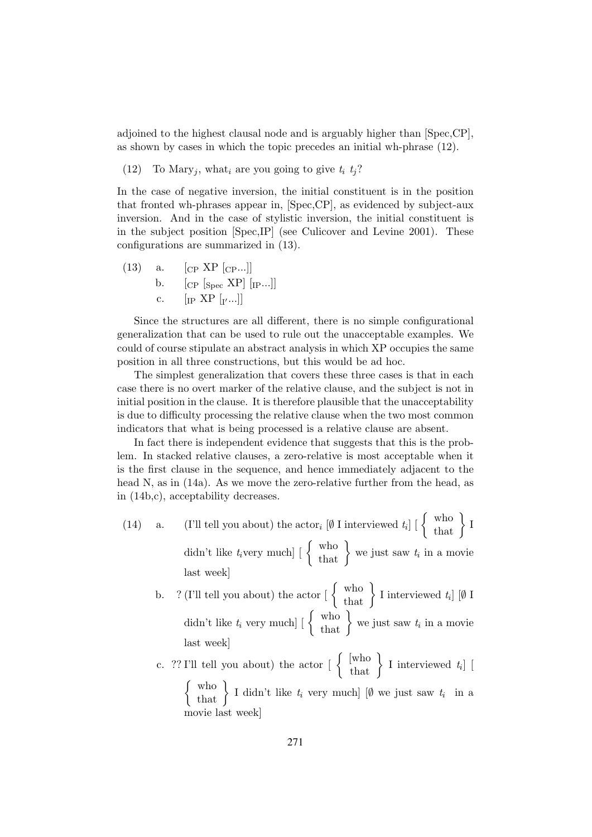adjoined to the highest clausal node and is arguably higher than [Spec,CP], as shown by cases in which the topic precedes an initial wh-phrase (12).

(12) To Mary<sub>j</sub>, what<sub>i</sub> are you going to give  $t_i$   $t_j$ ?

In the case of negative inversion, the initial constituent is in the position that fronted wh-phrases appear in, [Spec,CP], as evidenced by subject-aux inversion. And in the case of stylistic inversion, the initial constituent is in the subject position [Spec,IP] (see Culicover and Levine 2001). These configurations are summarized in (13).

(13) a. 
$$
\begin{bmatrix} CP & XP & [CP...] \\ C & P & [Spec & NP] & [IP...] \end{bmatrix}
$$
  
c. 
$$
\begin{bmatrix} IP & XP & [r...] \end{bmatrix}
$$

Since the structures are all different, there is no simple configurational generalization that can be used to rule out the unacceptable examples. We could of course stipulate an abstract analysis in which XP occupies the same position in all three constructions, but this would be ad hoc.

The simplest generalization that covers these three cases is that in each case there is no overt marker of the relative clause, and the subject is not in initial position in the clause. It is therefore plausible that the unacceptability is due to difficulty processing the relative clause when the two most common indicators that what is being processed is a relative clause are absent.

In fact there is independent evidence that suggests that this is the problem. In stacked relative clauses, a zero-relative is most acceptable when it is the first clause in the sequence, and hence immediately adjacent to the head N, as in  $(14a)$ . As we move the zero-relative further from the head, as in (14b,c), acceptability decreases.

(14) a. (I'll tell you about) the actor<sub>i</sub>  $[\emptyset \text{ I interviewed } t_i] \begin{bmatrix} \begin{Bmatrix} \text{who} \\ \text{that} \end{Bmatrix} \end{bmatrix}$ didn't like  $t_i$ very much]  $\begin{bmatrix} \begin{array}{c} \text{who} \\ \text{that} \end{array} \end{bmatrix}$  we just saw  $t_i$  in a movie last week]

b. ? (I'll tell you about) the actor  $\begin{bmatrix} \begin{Bmatrix} \text{who} \\ \text{that} \end{Bmatrix} \end{bmatrix}$  I interviewed  $t_i$   $\begin{bmatrix} \emptyset \end{bmatrix}$ didn't like  $t_i$  very much]  $\begin{bmatrix} \begin{Bmatrix} \text{who} \\ \text{that} \end{Bmatrix} \end{bmatrix}$  we just saw  $t_i$  in a movie last week]

c. ?? I'll tell you about) the actor  $\begin{bmatrix} \begin{Bmatrix} \text{who} \\ \text{that} \end{Bmatrix} \end{bmatrix}$  I interviewed  $t_i$  $\left\{\begin{array}{c} \text{who} \\ \text{that} \end{array}\right\}$  I didn't like  $t_i$  very much] [Ø we just saw  $t_i$  in a movie last week]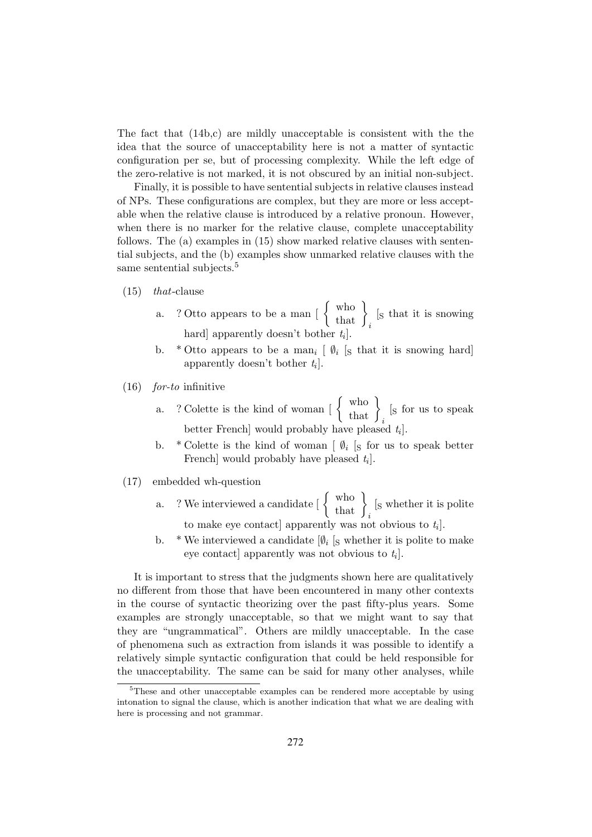The fact that (14b,c) are mildly unacceptable is consistent with the the idea that the source of unacceptability here is not a matter of syntactic configuration per se, but of processing complexity. While the left edge of the zero-relative is not marked, it is not obscured by an initial non-subject.

Finally, it is possible to have sentential subjects in relative clauses instead of NPs. These configurations are complex, but they are more or less acceptable when the relative clause is introduced by a relative pronoun. However, when there is no marker for the relative clause, complete unacceptability follows. The (a) examples in (15) show marked relative clauses with sentential subjects, and the (b) examples show unmarked relative clauses with the same sentential subjects.<sup>5</sup>

- (15) that-clause
	- a. ? Otto appears to be a man  $\left[\begin{array}{c} \text{who} \\ \text{that} \end{array}\right]_i$ [<sup>S</sup> that it is snowing hard] apparently doesn't bother  $t_i$ .
	- b. \* Otto appears to be a man<sub>i</sub>  $\lbrack \emptyset_i \rbrack_S$  that it is snowing hard apparently doesn't bother  $t_i$ .
- (16) for-to infinitive
	- a. ? Colette is the kind of woman  $\begin{bmatrix} \begin{Bmatrix} \text{who} \\ \text{that} \end{Bmatrix}_i$ [<sup>S</sup> for us to speak better French would probably have pleased  $t_i$ .
	- b. \* Colette is the kind of woman  $[\![\emptyset_i\!]_S$  for us to speak better French] would probably have pleased  $t_i$ .
- (17) embedded wh-question
	- a. ? We interviewed a candidate  $\begin{bmatrix} \begin{Bmatrix} \text{who} \\ \text{that} \end{Bmatrix} \end{bmatrix}_i$ [<sup>S</sup> whether it is polite to make eye contact] apparently was not obvious to  $t_i$ .
	- b. \* We interviewed a candidate  $[\emptyset_i]$  s whether it is polite to make eye contact] apparently was not obvious to  $t_i$ .

It is important to stress that the judgments shown here are qualitatively no different from those that have been encountered in many other contexts in the course of syntactic theorizing over the past fifty-plus years. Some examples are strongly unacceptable, so that we might want to say that they are "ungrammatical". Others are mildly unacceptable. In the case of phenomena such as extraction from islands it was possible to identify a relatively simple syntactic configuration that could be held responsible for the unacceptability. The same can be said for many other analyses, while

<sup>&</sup>lt;sup>5</sup>These and other unacceptable examples can be rendered more acceptable by using intonation to signal the clause, which is another indication that what we are dealing with here is processing and not grammar.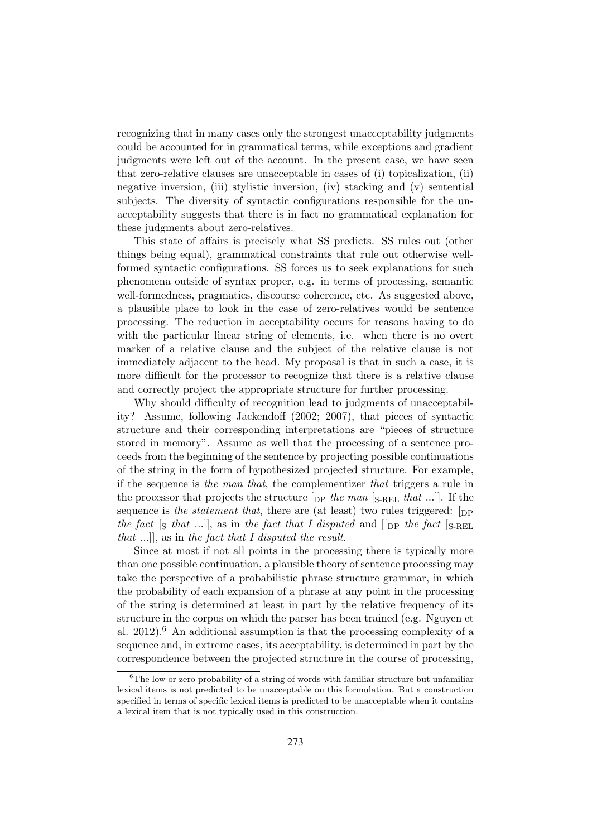recognizing that in many cases only the strongest unacceptability judgments could be accounted for in grammatical terms, while exceptions and gradient judgments were left out of the account. In the present case, we have seen that zero-relative clauses are unacceptable in cases of (i) topicalization, (ii) negative inversion, (iii) stylistic inversion, (iv) stacking and (v) sentential subjects. The diversity of syntactic configurations responsible for the unacceptability suggests that there is in fact no grammatical explanation for these judgments about zero-relatives.

This state of affairs is precisely what SS predicts. SS rules out (other things being equal), grammatical constraints that rule out otherwise wellformed syntactic configurations. SS forces us to seek explanations for such phenomena outside of syntax proper, e.g. in terms of processing, semantic well-formedness, pragmatics, discourse coherence, etc. As suggested above, a plausible place to look in the case of zero-relatives would be sentence processing. The reduction in acceptability occurs for reasons having to do with the particular linear string of elements, i.e. when there is no overt marker of a relative clause and the subject of the relative clause is not immediately adjacent to the head. My proposal is that in such a case, it is more difficult for the processor to recognize that there is a relative clause and correctly project the appropriate structure for further processing.

Why should difficulty of recognition lead to judgments of unacceptability? Assume, following Jackendoff (2002; 2007), that pieces of syntactic structure and their corresponding interpretations are "pieces of structure stored in memory". Assume as well that the processing of a sentence proceeds from the beginning of the sentence by projecting possible continuations of the string in the form of hypothesized projected structure. For example, if the sequence is the man that, the complementizer that triggers a rule in the processor that projects the structure  $[p]$  the man  $[s]$ -REL that ...]. If the sequence is the statement that, there are (at least) two rules triggered:  $[$ DP the fact  $[s$  that ...], as in the fact that I disputed and  $[$   $|$   $|$  $|$  $|p$  the fact  $[s]$ -REL that  $...$ ], as in the fact that I disputed the result.

Since at most if not all points in the processing there is typically more than one possible continuation, a plausible theory of sentence processing may take the perspective of a probabilistic phrase structure grammar, in which the probability of each expansion of a phrase at any point in the processing of the string is determined at least in part by the relative frequency of its structure in the corpus on which the parser has been trained (e.g. Nguyen et al. 2012).<sup>6</sup> An additional assumption is that the processing complexity of a sequence and, in extreme cases, its acceptability, is determined in part by the correspondence between the projected structure in the course of processing,

 ${}^{6}$ The low or zero probability of a string of words with familiar structure but unfamiliar lexical items is not predicted to be unacceptable on this formulation. But a construction specified in terms of specific lexical items is predicted to be unacceptable when it contains a lexical item that is not typically used in this construction.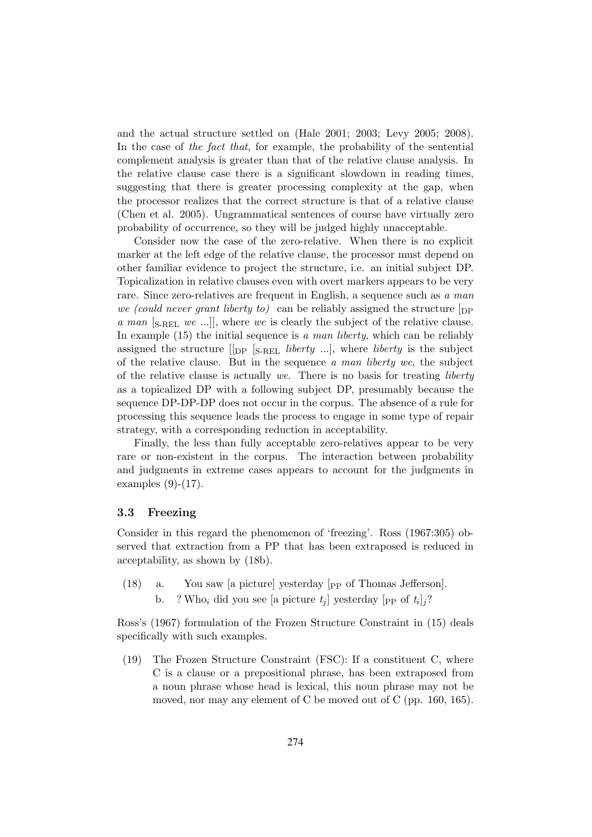and the actual structure settled on (Hale 2001; 2003; Levy 2005; 2008). In the case of the fact that, for example, the probability of the sentential complement analysis is greater than that of the relative clause analysis. In the relative clause case there is a significant slowdown in reading times, suggesting that there is greater processing complexity at the gap, when the processor realizes that the correct structure is that of a relative clause (Chen et al. 2005). Ungrammatical sentences of course have virtually zero probability of occurrence, so they will be judged highly unacceptable.

Consider now the case of the zero-relative. When there is no explicit marker at the left edge of the relative clause, the processor must depend on other familiar evidence to project the structure, i.e. an initial subject DP. Topicalization in relative clauses even with overt markers appears to be very rare. Since zero-relatives are frequent in English, a sequence such as a man we (could never grant liberty to) can be reliably assigned the structure  $\lceil_{\text{DP}}\rceil$ a man  $\left[\text{s}, \text{refl}, we \ldots\right]$ , where we is clearly the subject of the relative clause. In example  $(15)$  the initial sequence is a man liberty, which can be reliably assigned the structure  $\begin{bmatrix} p \end{bmatrix}$  [S-REL *liberty* ...], where *liberty* is the subject of the relative clause. But in the sequence a man liberty we, the subject of the relative clause is actually we. There is no basis for treating *liberty* as a topicalized DP with a following subject DP, presumably because the sequence DP-DP-DP does not occur in the corpus. The absence of a rule for processing this sequence leads the process to engage in some type of repair strategy, with a corresponding reduction in acceptability.

Finally, the less than fully acceptable zero-relatives appear to be very rare or non-existent in the corpus. The interaction between probability and judgments in extreme cases appears to account for the judgments in examples (9)-(17).

#### 3.3 Freezing

Consider in this regard the phenomenon of 'freezing'. Ross (1967:305) observed that extraction from a PP that has been extraposed is reduced in acceptability, as shown by (18b).

- (18) a. You saw [a picture] yesterday [PP of Thomas Jefferson].
	- b. ? Who<sub>i</sub> did you see [a picture  $t_j$ ] yesterday [<sub>PP</sub> of  $t_i$ ]<sub>j</sub>?

Ross's (1967) formulation of the Frozen Structure Constraint in (15) deals specifically with such examples.

(19) The Frozen Structure Constraint (FSC): If a constituent C, where C is a clause or a prepositional phrase, has been extraposed from a noun phrase whose head is lexical, this noun phrase may not be moved, nor may any element of C be moved out of C (pp. 160, 165).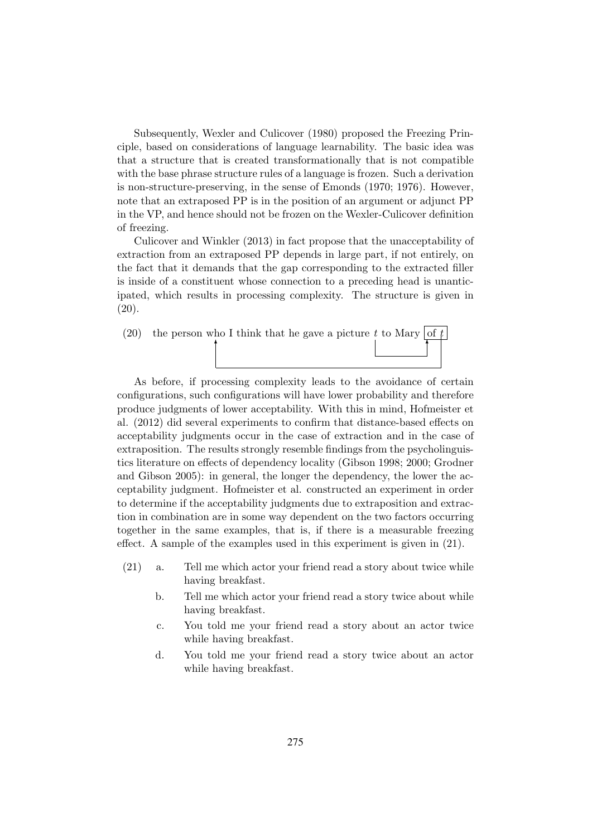Subsequently, Wexler and Culicover (1980) proposed the Freezing Principle, based on considerations of language learnability. The basic idea was that a structure that is created transformationally that is not compatible with the base phrase structure rules of a language is frozen. Such a derivation is non-structure-preserving, in the sense of Emonds (1970; 1976). However, note that an extraposed PP is in the position of an argument or adjunct PP in the VP, and hence should not be frozen on the Wexler-Culicover definition of freezing.

Culicover and Winkler (2013) in fact propose that the unacceptability of extraction from an extraposed PP depends in large part, if not entirely, on the fact that it demands that the gap corresponding to the extracted filler is inside of a constituent whose connection to a preceding head is unanticipated, which results in processing complexity. The structure is given in (20).

(20) the person who I think that he gave a picture t to Mary where  $\mathcal{A}$  is the set of  $\mathcal{A}$ 

As before, if processing complexity leads to the avoidance of certain configurations, such configurations will have lower probability and therefore produce judgments of lower acceptability. With this in mind, Hofmeister et al. (2012) did several experiments to confirm that distance-based effects on acceptability judgments occur in the case of extraction and in the case of extraposition. The results strongly resemble findings from the psycholinguistics literature on effects of dependency locality (Gibson 1998; 2000; Grodner and Gibson 2005): in general, the longer the dependency, the lower the acceptability judgment. Hofmeister et al. constructed an experiment in order to determine if the acceptability judgments due to extraposition and extraction in combination are in some way dependent on the two factors occurring together in the same examples, that is, if there is a measurable freezing effect. A sample of the examples used in this experiment is given in (21).

- (21) a. Tell me which actor your friend read a story about twice while having breakfast.
	- b. Tell me which actor your friend read a story twice about while having breakfast.
	- c. You told me your friend read a story about an actor twice while having breakfast.
	- d. You told me your friend read a story twice about an actor while having breakfast.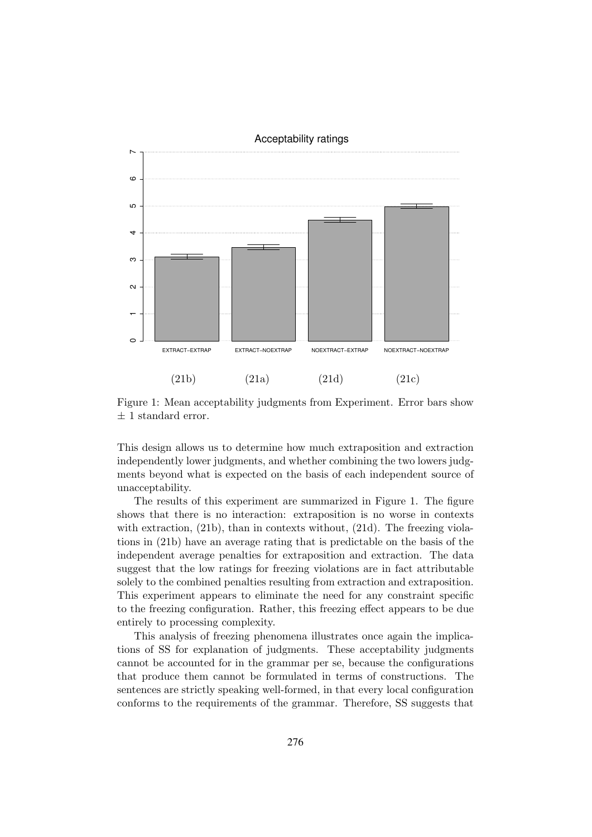

Figure 1: Mean acceptability judgments from Experiment. Error bars show  $\pm$  1 standard error.

This design allows us to determine how much extraposition and extraction independently lower judgments, and whether combining the two lowers judgments beyond what is expected on the basis of each independent source of unacceptability.

The results of this experiment are summarized in Figure 1. The figure shows that there is no interaction: extraposition is no worse in contexts with extraction, (21b), than in contexts without, (21d). The freezing violations in (21b) have an average rating that is predictable on the basis of the independent average penalties for extraposition and extraction. The data suggest that the low ratings for freezing violations are in fact attributable solely to the combined penalties resulting from extraction and extraposition. This experiment appears to eliminate the need for any constraint specific to the freezing configuration. Rather, this freezing effect appears to be due entirely to processing complexity.

This analysis of freezing phenomena illustrates once again the implications of SS for explanation of judgments. These acceptability judgments cannot be accounted for in the grammar per se, because the configurations that produce them cannot be formulated in terms of constructions. The sentences are strictly speaking well-formed, in that every local configuration conforms to the requirements of the grammar. Therefore, SS suggests that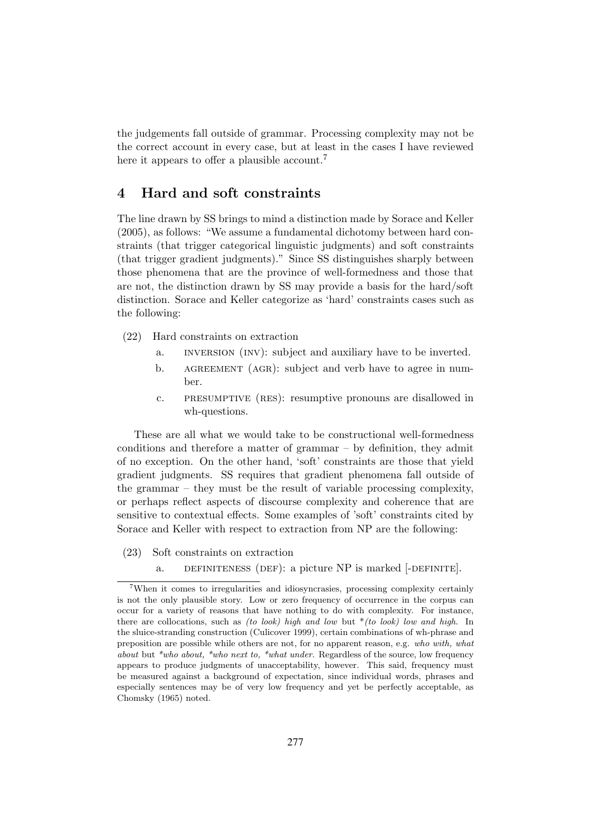the judgements fall outside of grammar. Processing complexity may not be the correct account in every case, but at least in the cases I have reviewed here it appears to offer a plausible account.<sup>7</sup>

## 4 Hard and soft constraints

The line drawn by SS brings to mind a distinction made by Sorace and Keller (2005), as follows: "We assume a fundamental dichotomy between hard constraints (that trigger categorical linguistic judgments) and soft constraints (that trigger gradient judgments)." Since SS distinguishes sharply between those phenomena that are the province of well-formedness and those that are not, the distinction drawn by SS may provide a basis for the hard/soft distinction. Sorace and Keller categorize as 'hard' constraints cases such as the following:

- (22) Hard constraints on extraction
	- a. inversion (inv): subject and auxiliary have to be inverted.
	- b. AGREEMENT (AGR): subject and verb have to agree in number.
	- c. presumptive (res): resumptive pronouns are disallowed in wh-questions.

These are all what we would take to be constructional well-formedness conditions and therefore a matter of grammar – by definition, they admit of no exception. On the other hand, 'soft' constraints are those that yield gradient judgments. SS requires that gradient phenomena fall outside of the grammar – they must be the result of variable processing complexity, or perhaps reflect aspects of discourse complexity and coherence that are sensitive to contextual effects. Some examples of 'soft' constraints cited by Sorace and Keller with respect to extraction from NP are the following:

- (23) Soft constraints on extraction
	- a. DEFINITENESS (DEF): a picture NP is marked [-DEFINITE].

<sup>7</sup>When it comes to irregularities and idiosyncrasies, processing complexity certainly is not the only plausible story. Low or zero frequency of occurrence in the corpus can occur for a variety of reasons that have nothing to do with complexity. For instance, there are collocations, such as (to look) high and low but  $*(to \text{ look})$  low and high. In the sluice-stranding construction (Culicover 1999), certain combinations of wh-phrase and preposition are possible while others are not, for no apparent reason, e.g. who with, what about but  $*who$  about,  $*who$  next to,  $*what$  under. Regardless of the source, low frequency appears to produce judgments of unacceptability, however. This said, frequency must be measured against a background of expectation, since individual words, phrases and especially sentences may be of very low frequency and yet be perfectly acceptable, as Chomsky (1965) noted.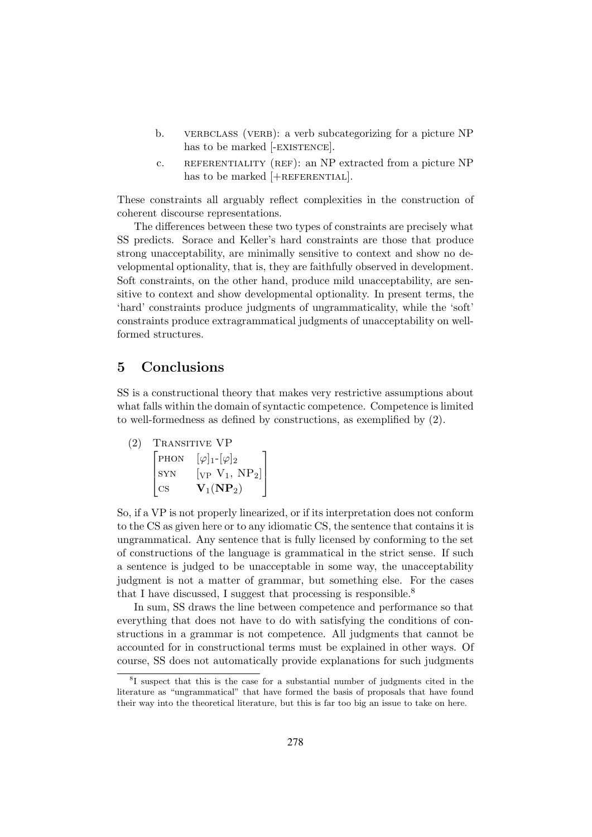- b. VERBCLASS (VERB): a verb subcategorizing for a picture NP has to be marked [-EXISTENCE].
- c. REFERENTIALITY (REF): an NP extracted from a picture NP has to be marked  $[+REFERENTIAL]$ .

These constraints all arguably reflect complexities in the construction of coherent discourse representations.

The differences between these two types of constraints are precisely what SS predicts. Sorace and Keller's hard constraints are those that produce strong unacceptability, are minimally sensitive to context and show no developmental optionality, that is, they are faithfully observed in development. Soft constraints, on the other hand, produce mild unacceptability, are sensitive to context and show developmental optionality. In present terms, the 'hard' constraints produce judgments of ungrammaticality, while the 'soft' constraints produce extragrammatical judgments of unacceptability on wellformed structures.

## 5 Conclusions

SS is a constructional theory that makes very restrictive assumptions about what falls within the domain of syntactic competence. Competence is limited to well-formedness as defined by constructions, as exemplified by (2).

TRANSITIVE VP  $\sqrt{ }$  $\overline{\phantom{a}}$ PHON  $[\varphi]_1$ - $[\varphi]_2$ SYN  $[\text{VP } V_1, \text{ NP}_2]$ cs  $V_1(NP_2)$ T  $\parallel$ 

So, if a VP is not properly linearized, or if its interpretation does not conform to the CS as given here or to any idiomatic CS, the sentence that contains it is ungrammatical. Any sentence that is fully licensed by conforming to the set of constructions of the language is grammatical in the strict sense. If such a sentence is judged to be unacceptable in some way, the unacceptability judgment is not a matter of grammar, but something else. For the cases that I have discussed. I suggest that processing is responsible.<sup>8</sup>

In sum, SS draws the line between competence and performance so that everything that does not have to do with satisfying the conditions of constructions in a grammar is not competence. All judgments that cannot be accounted for in constructional terms must be explained in other ways. Of course, SS does not automatically provide explanations for such judgments

<sup>8</sup> I suspect that this is the case for a substantial number of judgments cited in the literature as "ungrammatical" that have formed the basis of proposals that have found their way into the theoretical literature, but this is far too big an issue to take on here.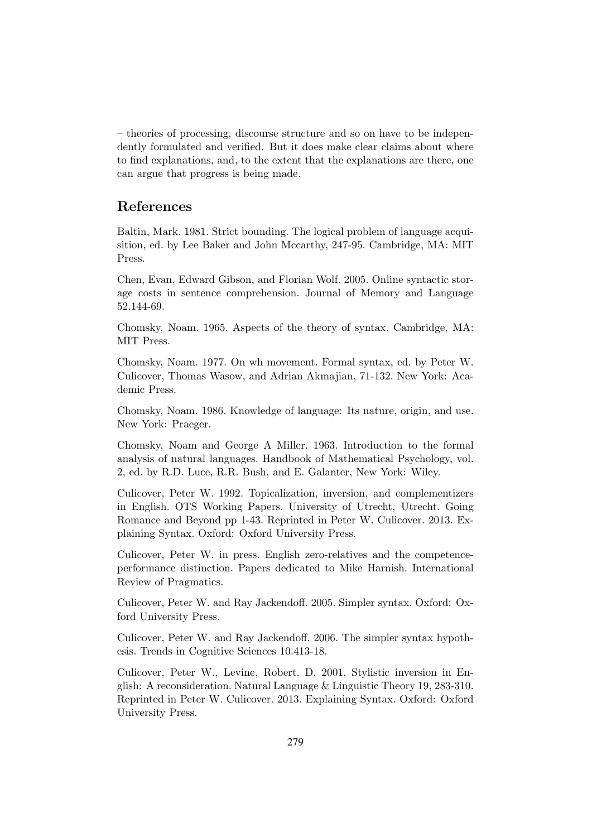– theories of processing, discourse structure and so on have to be independently formulated and verified. But it does make clear claims about where to find explanations, and, to the extent that the explanations are there, one can argue that progress is being made.

## References

Baltin, Mark. 1981. Strict bounding. The logical problem of language acquisition, ed. by Lee Baker and John Mccarthy, 247-95. Cambridge, MA: MIT Press.

Chen, Evan, Edward Gibson, and Florian Wolf. 2005. Online syntactic storage costs in sentence comprehension. Journal of Memory and Language 52.144-69.

Chomsky, Noam. 1965. Aspects of the theory of syntax. Cambridge, MA: MIT Press.

Chomsky, Noam. 1977. On wh movement. Formal syntax, ed. by Peter W. Culicover, Thomas Wasow, and Adrian Akmajian, 71-132. New York: Academic Press.

Chomsky, Noam. 1986. Knowledge of language: Its nature, origin, and use. New York: Praeger.

Chomsky, Noam and George A Miller. 1963. Introduction to the formal analysis of natural languages. Handbook of Mathematical Psychology, vol. 2, ed. by R.D. Luce, R.R. Bush, and E. Galanter, New York: Wiley.

Culicover, Peter W. 1992. Topicalization, inversion, and complementizers in English. OTS Working Papers. University of Utrecht, Utrecht. Going Romance and Beyond pp 1-43. Reprinted in Peter W. Culicover. 2013. Explaining Syntax. Oxford: Oxford University Press.

Culicover, Peter W. in press. English zero-relatives and the competenceperformance distinction. Papers dedicated to Mike Harnish. International Review of Pragmatics.

Culicover, Peter W. and Ray Jackendoff. 2005. Simpler syntax. Oxford: Oxford University Press.

Culicover, Peter W. and Ray Jackendoff. 2006. The simpler syntax hypothesis. Trends in Cognitive Sciences 10.413-18.

Culicover, Peter W., Levine, Robert. D. 2001. Stylistic inversion in English: A reconsideration. Natural Language & Linguistic Theory 19, 283-310. Reprinted in Peter W. Culicover. 2013. Explaining Syntax. Oxford: Oxford University Press.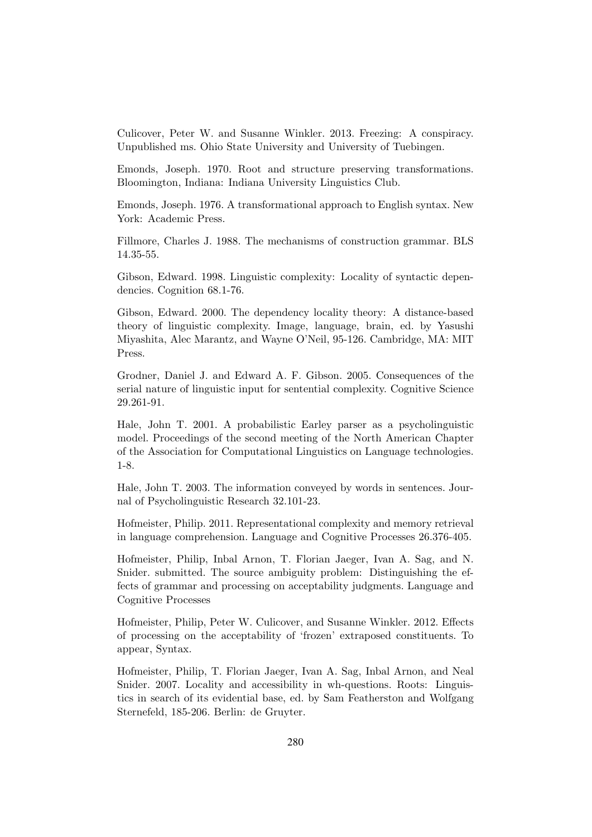Culicover, Peter W. and Susanne Winkler. 2013. Freezing: A conspiracy. Unpublished ms. Ohio State University and University of Tuebingen.

Emonds, Joseph. 1970. Root and structure preserving transformations. Bloomington, Indiana: Indiana University Linguistics Club.

Emonds, Joseph. 1976. A transformational approach to English syntax. New York: Academic Press.

Fillmore, Charles J. 1988. The mechanisms of construction grammar. BLS 14.35-55.

Gibson, Edward. 1998. Linguistic complexity: Locality of syntactic dependencies. Cognition 68.1-76.

Gibson, Edward. 2000. The dependency locality theory: A distance-based theory of linguistic complexity. Image, language, brain, ed. by Yasushi Miyashita, Alec Marantz, and Wayne O'Neil, 95-126. Cambridge, MA: MIT Press.

Grodner, Daniel J. and Edward A. F. Gibson. 2005. Consequences of the serial nature of linguistic input for sentential complexity. Cognitive Science 29.261-91.

Hale, John T. 2001. A probabilistic Earley parser as a psycholinguistic model. Proceedings of the second meeting of the North American Chapter of the Association for Computational Linguistics on Language technologies. 1-8.

Hale, John T. 2003. The information conveyed by words in sentences. Journal of Psycholinguistic Research 32.101-23.

Hofmeister, Philip. 2011. Representational complexity and memory retrieval in language comprehension. Language and Cognitive Processes 26.376-405.

Hofmeister, Philip, Inbal Arnon, T. Florian Jaeger, Ivan A. Sag, and N. Snider. submitted. The source ambiguity problem: Distinguishing the effects of grammar and processing on acceptability judgments. Language and Cognitive Processes

Hofmeister, Philip, Peter W. Culicover, and Susanne Winkler. 2012. Effects of processing on the acceptability of 'frozen' extraposed constituents. To appear, Syntax.

Hofmeister, Philip, T. Florian Jaeger, Ivan A. Sag, Inbal Arnon, and Neal Snider. 2007. Locality and accessibility in wh-questions. Roots: Linguistics in search of its evidential base, ed. by Sam Featherston and Wolfgang Sternefeld, 185-206. Berlin: de Gruyter.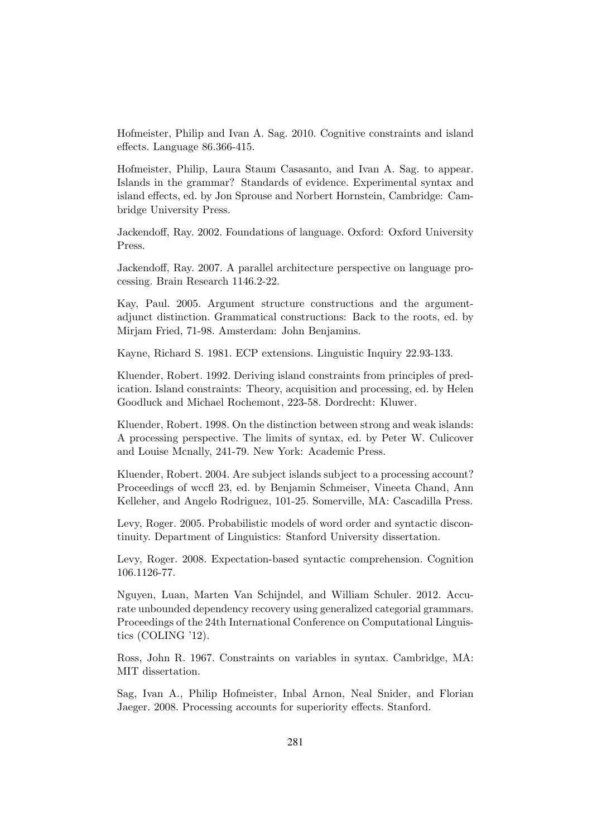Hofmeister, Philip and Ivan A. Sag. 2010. Cognitive constraints and island effects. Language 86.366-415.

Hofmeister, Philip, Laura Staum Casasanto, and Ivan A. Sag. to appear. Islands in the grammar? Standards of evidence. Experimental syntax and island effects, ed. by Jon Sprouse and Norbert Hornstein, Cambridge: Cambridge University Press.

Jackendoff, Ray. 2002. Foundations of language. Oxford: Oxford University Press.

Jackendoff, Ray. 2007. A parallel architecture perspective on language processing. Brain Research 1146.2-22.

Kay, Paul. 2005. Argument structure constructions and the argumentadjunct distinction. Grammatical constructions: Back to the roots, ed. by Mirjam Fried, 71-98. Amsterdam: John Benjamins.

Kayne, Richard S. 1981. ECP extensions. Linguistic Inquiry 22.93-133.

Kluender, Robert. 1992. Deriving island constraints from principles of predication. Island constraints: Theory, acquisition and processing, ed. by Helen Goodluck and Michael Rochemont, 223-58. Dordrecht: Kluwer.

Kluender, Robert. 1998. On the distinction between strong and weak islands: A processing perspective. The limits of syntax, ed. by Peter W. Culicover and Louise Mcnally, 241-79. New York: Academic Press.

Kluender, Robert. 2004. Are subject islands subject to a processing account? Proceedings of wccfl 23, ed. by Benjamin Schmeiser, Vineeta Chand, Ann Kelleher, and Angelo Rodriguez, 101-25. Somerville, MA: Cascadilla Press.

Levy, Roger. 2005. Probabilistic models of word order and syntactic discontinuity. Department of Linguistics: Stanford University dissertation.

Levy, Roger. 2008. Expectation-based syntactic comprehension. Cognition 106.1126-77.

Nguyen, Luan, Marten Van Schijndel, and William Schuler. 2012. Accurate unbounded dependency recovery using generalized categorial grammars. Proceedings of the 24th International Conference on Computational Linguistics (COLING '12).

Ross, John R. 1967. Constraints on variables in syntax. Cambridge, MA: MIT dissertation.

Sag, Ivan A., Philip Hofmeister, Inbal Arnon, Neal Snider, and Florian Jaeger. 2008. Processing accounts for superiority effects. Stanford.